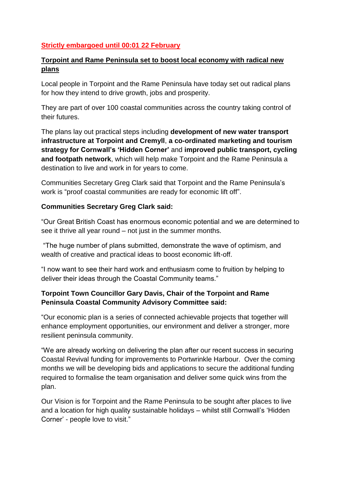# **Strictly embargoed until 00:01 22 February**

# **Torpoint and Rame Peninsula set to boost local economy with radical new plans**

Local people in Torpoint and the Rame Peninsula have today set out radical plans for how they intend to drive growth, jobs and prosperity.

They are part of over 100 coastal communities across the country taking control of their futures.

The plans lay out practical steps including **development of new water transport infrastructure at Torpoint and Cremyll**, **a co-ordinated marketing and tourism strategy for Cornwall's 'Hidden Corner'** and **improved public transport, cycling and footpath network**, which will help make Torpoint and the Rame Peninsula a destination to live and work in for years to come.

Communities Secretary Greg Clark said that Torpoint and the Rame Peninsula's work is "proof coastal communities are ready for economic lift off".

#### **Communities Secretary Greg Clark said:**

"Our Great British Coast has enormous economic potential and we are determined to see it thrive all year round – not just in the summer months.

"The huge number of plans submitted, demonstrate the wave of optimism, and wealth of creative and practical ideas to boost economic lift-off.

"I now want to see their hard work and enthusiasm come to fruition by helping to deliver their ideas through the Coastal Community teams."

## **Torpoint Town Councillor Gary Davis, Chair of the Torpoint and Rame Peninsula Coastal Community Advisory Committee said:**

"Our economic plan is a series of connected achievable projects that together will enhance employment opportunities, our environment and deliver a stronger, more resilient peninsula community.

"We are already working on delivering the plan after our recent success in securing Coastal Revival funding for improvements to Portwrinkle Harbour. Over the coming months we will be developing bids and applications to secure the additional funding required to formalise the team organisation and deliver some quick wins from the plan.

Our Vision is for Torpoint and the Rame Peninsula to be sought after places to live and a location for high quality sustainable holidays – whilst still Cornwall's 'Hidden Corner' - people love to visit."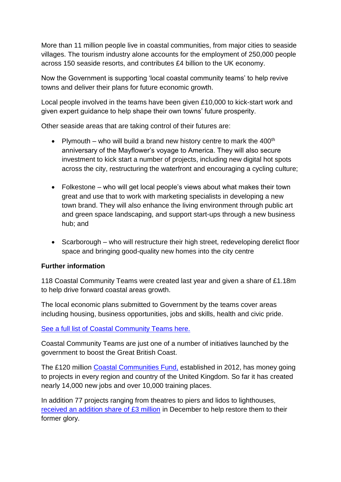More than 11 million people live in coastal communities, from major cities to seaside villages. The tourism industry alone accounts for the employment of 250,000 people across 150 seaside resorts, and contributes £4 billion to the UK economy.

Now the Government is supporting 'local coastal community teams' to help revive towns and deliver their plans for future economic growth.

Local people involved in the teams have been given £10,000 to kick-start work and given expert guidance to help shape their own towns' future prosperity.

Other seaside areas that are taking control of their futures are:

- Plymouth who will build a brand new history centre to mark the  $400<sup>th</sup>$ anniversary of the Mayflower's voyage to America. They will also secure investment to kick start a number of projects, including new digital hot spots across the city, restructuring the waterfront and encouraging a cycling culture;
- Folkestone who will get local people's views about what makes their town great and use that to work with marketing specialists in developing a new town brand. They will also enhance the living environment through public art and green space landscaping, and support start-ups through a new business hub; and
- Scarborough who will restructure their high street, redeveloping derelict floor space and bringing good-quality new homes into the city centre

## **Further information**

118 Coastal Community Teams were created last year and given a share of £1.18m to help drive forward coastal areas growth.

The local economic plans submitted to Government by the teams cover areas including housing, business opportunities, jobs and skills, health and civic pride.

[See a full list of Coastal Community Teams here.](https://www.gov.uk/government/news/coastal-community-teams-to-take-control-of-seaside-regeneration)

Coastal Community Teams are just one of a number of initiatives launched by the government to boost the Great British Coast.

The £120 million [Coastal Communities Fund,](https://www.gov.uk/government/news/coastal-communities-fund-promotes-over-10000-jobs-training-places-and-apprenticeships) established in 2012, has money going to projects in every region and country of the United Kingdom. So far it has created nearly 14,000 new jobs and over 10,000 training places.

In addition 77 projects ranging from theatres to piers and lidos to lighthouses, [received an addition share of £3 million](https://www.gov.uk/government/news/iconic-coastal-heritage-sites-set-for-3-million-makeover) in December to help restore them to their former glory.